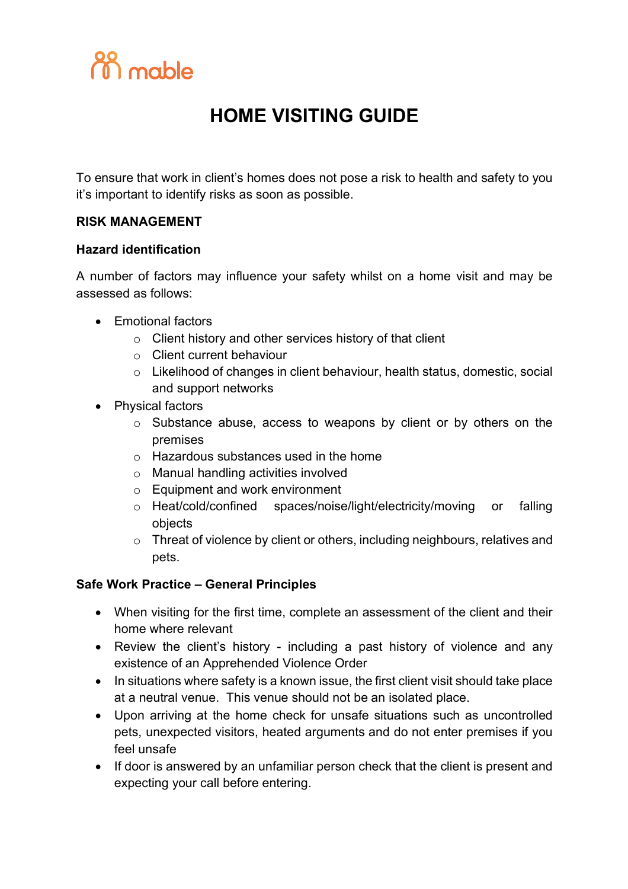

## **HOME VISITING GUIDE**

To ensure that work in client's homes does not pose a risk to health and safety to you it's important to identify risks as soon as possible.

### **RISK MANAGEMENT**

#### **Hazard identification**

A number of factors may influence your safety whilst on a home visit and may be assessed as follows:

- Emotional factors
	- o Client history and other services history of that client
	- o Client current behaviour
	- o Likelihood of changes in client behaviour, health status, domestic, social and support networks
- Physical factors
	- o Substance abuse, access to weapons by client or by others on the premises
	- o Hazardous substances used in the home
	- o Manual handling activities involved
	- o Equipment and work environment
	- o Heat/cold/confined spaces/noise/light/electricity/moving or falling objects
	- o Threat of violence by client or others, including neighbours, relatives and pets.

#### **Safe Work Practice – General Principles**

- When visiting for the first time, complete an assessment of the client and their home where relevant
- Review the client's history including a past history of violence and any existence of an Apprehended Violence Order
- In situations where safety is a known issue, the first client visit should take place at a neutral venue. This venue should not be an isolated place.
- Upon arriving at the home check for unsafe situations such as uncontrolled pets, unexpected visitors, heated arguments and do not enter premises if you feel unsafe
- If door is answered by an unfamiliar person check that the client is present and expecting your call before entering.